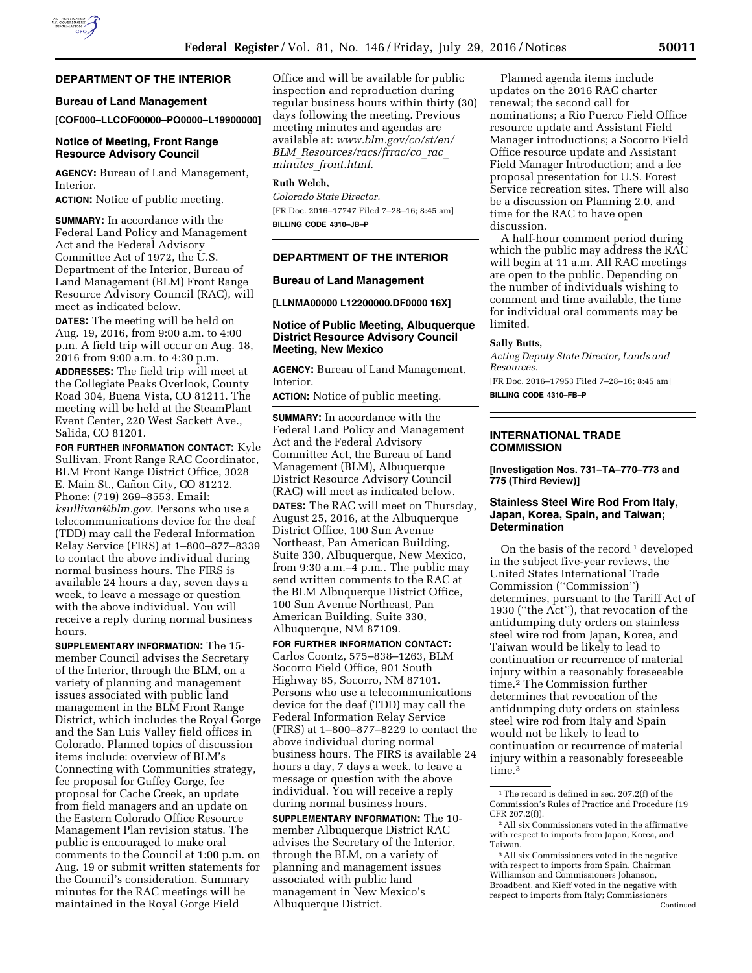#### **DEPARTMENT OF THE INTERIOR**

## **Bureau of Land Management**

**[COF000–LLCOF00000–PO0000–L19900000]** 

### **Notice of Meeting, Front Range Resource Advisory Council**

**AGENCY:** Bureau of Land Management, Interior.

**ACTION:** Notice of public meeting.

**SUMMARY:** In accordance with the Federal Land Policy and Management Act and the Federal Advisory Committee Act of 1972, the U.S. Department of the Interior, Bureau of Land Management (BLM) Front Range Resource Advisory Council (RAC), will meet as indicated below.

**DATES:** The meeting will be held on Aug. 19, 2016, from 9:00 a.m. to 4:00 p.m. A field trip will occur on Aug. 18, 2016 from 9:00 a.m. to 4:30 p.m.

**ADDRESSES:** The field trip will meet at the Collegiate Peaks Overlook, County Road 304, Buena Vista, CO 81211. The meeting will be held at the SteamPlant Event Center, 220 West Sackett Ave., Salida, CO 81201.

**FOR FURTHER INFORMATION CONTACT:** Kyle Sullivan, Front Range RAC Coordinator, BLM Front Range District Office, 3028 E. Main St., Cañon City, CO 81212. Phone: (719) 269–8553. Email: *[ksullivan@blm.gov.](mailto:ksullivan@blm.gov)* Persons who use a telecommunications device for the deaf (TDD) may call the Federal Information Relay Service (FIRS) at 1–800–877–8339 to contact the above individual during normal business hours. The FIRS is available 24 hours a day, seven days a week, to leave a message or question with the above individual. You will receive a reply during normal business hours.

**SUPPLEMENTARY INFORMATION:** The 15 member Council advises the Secretary of the Interior, through the BLM, on a variety of planning and management issues associated with public land management in the BLM Front Range District, which includes the Royal Gorge and the San Luis Valley field offices in Colorado. Planned topics of discussion items include: overview of BLM's Connecting with Communities strategy, fee proposal for Guffey Gorge, fee proposal for Cache Creek, an update from field managers and an update on the Eastern Colorado Office Resource Management Plan revision status. The public is encouraged to make oral comments to the Council at 1:00 p.m. on Aug. 19 or submit written statements for the Council's consideration. Summary minutes for the RAC meetings will be maintained in the Royal Gorge Field

Office and will be available for public inspection and reproduction during regular business hours within thirty (30) days following the meeting. Previous meeting minutes and agendas are available at: *[www.blm.gov/co/st/en/](http://www.blm.gov/co/st/en/BLM_Resources/racs/frrac/co_rac_minutes_front.html) BLM*\_*[Resources/racs/frrac/co](http://www.blm.gov/co/st/en/BLM_Resources/racs/frrac/co_rac_minutes_front.html)*\_*rac*\_ *minutes*\_*[front.html.](http://www.blm.gov/co/st/en/BLM_Resources/racs/frrac/co_rac_minutes_front.html)* 

### **Ruth Welch,**

*Colorado State Director.*  [FR Doc. 2016–17747 Filed 7–28–16; 8:45 am] **BILLING CODE 4310–JB–P** 

## **DEPARTMENT OF THE INTERIOR**

#### **Bureau of Land Management**

**[LLNMA00000 L12200000.DF0000 16X]** 

# **Notice of Public Meeting, Albuquerque District Resource Advisory Council Meeting, New Mexico**

**AGENCY:** Bureau of Land Management, Interior.

**ACTION:** Notice of public meeting.

**SUMMARY:** In accordance with the Federal Land Policy and Management Act and the Federal Advisory Committee Act, the Bureau of Land Management (BLM), Albuquerque District Resource Advisory Council (RAC) will meet as indicated below.

**DATES:** The RAC will meet on Thursday, August 25, 2016, at the Albuquerque District Office, 100 Sun Avenue Northeast, Pan American Building, Suite 330, Albuquerque, New Mexico, from 9:30 a.m.–4 p.m.. The public may send written comments to the RAC at the BLM Albuquerque District Office, 100 Sun Avenue Northeast, Pan American Building, Suite 330, Albuquerque, NM 87109.

**FOR FURTHER INFORMATION CONTACT:**  Carlos Coontz, 575–838–1263, BLM Socorro Field Office, 901 South Highway 85, Socorro, NM 87101. Persons who use a telecommunications device for the deaf (TDD) may call the Federal Information Relay Service (FIRS) at 1–800–877–8229 to contact the above individual during normal business hours. The FIRS is available 24 hours a day, 7 days a week, to leave a message or question with the above individual. You will receive a reply during normal business hours.

**SUPPLEMENTARY INFORMATION:** The 10 member Albuquerque District RAC advises the Secretary of the Interior, through the BLM, on a variety of planning and management issues associated with public land management in New Mexico's Albuquerque District.

Planned agenda items include updates on the 2016 RAC charter renewal; the second call for nominations; a Rio Puerco Field Office resource update and Assistant Field Manager introductions; a Socorro Field Office resource update and Assistant Field Manager Introduction; and a fee proposal presentation for U.S. Forest Service recreation sites. There will also be a discussion on Planning 2.0, and time for the RAC to have open discussion.

A half-hour comment period during which the public may address the RAC will begin at 11 a.m. All RAC meetings are open to the public. Depending on the number of individuals wishing to comment and time available, the time for individual oral comments may be limited.

#### **Sally Butts,**

*Acting Deputy State Director, Lands and Resources.* 

[FR Doc. 2016–17953 Filed 7–28–16; 8:45 am] **BILLING CODE 4310–FB–P** 

## **INTERNATIONAL TRADE COMMISSION**

**[Investigation Nos. 731–TA–770–773 and 775 (Third Review)]** 

## **Stainless Steel Wire Rod From Italy, Japan, Korea, Spain, and Taiwan; Determination**

On the basis of the record  $1$  developed in the subject five-year reviews, the United States International Trade Commission (''Commission'') determines, pursuant to the Tariff Act of 1930 (''the Act''), that revocation of the antidumping duty orders on stainless steel wire rod from Japan, Korea, and Taiwan would be likely to lead to continuation or recurrence of material injury within a reasonably foreseeable time.2 The Commission further determines that revocation of the antidumping duty orders on stainless steel wire rod from Italy and Spain would not be likely to lead to continuation or recurrence of material injury within a reasonably foreseeable time.3

<sup>&</sup>lt;sup>1</sup>The record is defined in sec. 207.2(f) of the Commission's Rules of Practice and Procedure (19 CFR 207.2(f)).

<sup>2</sup>All six Commissioners voted in the affirmative with respect to imports from Japan, Korea, and Taiwan.

<sup>3</sup>All six Commissioners voted in the negative with respect to imports from Spain. Chairman Williamson and Commissioners Johanson, Broadbent, and Kieff voted in the negative with respect to imports from Italy; Commissioners Continued